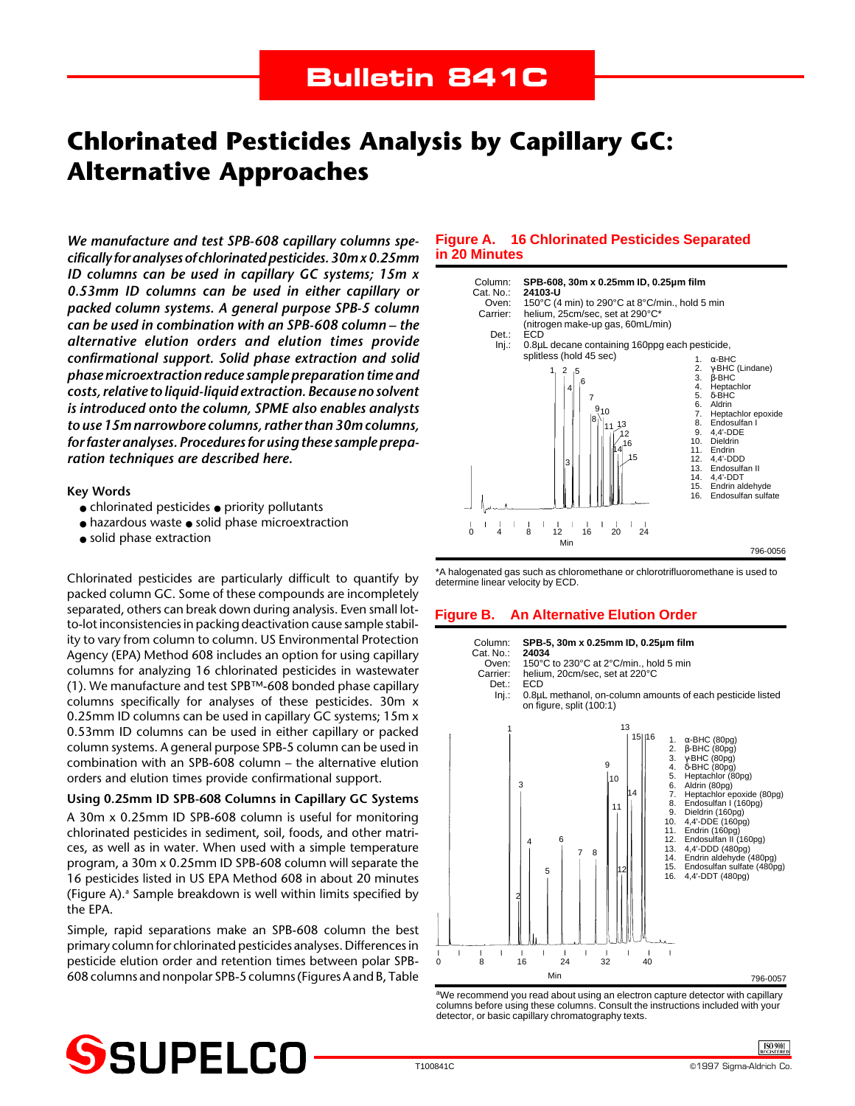# **Chlorinated Pesticides Analysis by Capillary GC: Alternative Approaches**

*We manufacture and test SPB-608 capillary columns specifically for analyses of chlorinated pesticides. 30m x 0.25mm ID columns can be used in capillary GC systems; 15m x 0.53mm ID columns can be used in either capillary or packed column systems. A general purpose SPB-5 column can be used in combination with an SPB-608 column – the alternative elution orders and elution times provide confirmational support. Solid phase extraction and solid phase microextraction reduce sample preparation time and costs, relative to liquid-liquid extraction. Because no solvent is introduced onto the column, SPME also enables analysts to use 15m narrowbore columns, rather than 30m columns, for faster analyses. Procedures for using these sample preparation techniques are described here.*

**Key Words**

- chlorinated pesticides priority pollutants
- hazardous waste solid phase microextraction
- solid phase extraction

Chlorinated pesticides are particularly difficult to quantify by packed column GC. Some of these compounds are incompletely separated, others can break down during analysis. Even small lotto-lot inconsistencies in packing deactivation cause sample stability to vary from column to column. US Environmental Protection Agency (EPA) Method 608 includes an option for using capillary columns for analyzing 16 chlorinated pesticides in wastewater (1). We manufacture and test SPB™-608 bonded phase capillary columns specifically for analyses of these pesticides. 30m x 0.25mm ID columns can be used in capillary GC systems; 15m x 0.53mm ID columns can be used in either capillary or packed column systems. A general purpose SPB-5 column can be used in combination with an SPB-608 column – the alternative elution orders and elution times provide confirmational support.

**Using 0.25mm ID SPB-608 Columns in Capillary GC Systems** A 30m x 0.25mm ID SPB-608 column is useful for monitoring chlorinated pesticides in sediment, soil, foods, and other matrices, as well as in water. When used with a simple temperature program, a 30m x 0.25mm ID SPB-608 column will separate the 16 pesticides listed in US EPA Method 608 in about 20 minutes (Figure A).<sup>a</sup> Sample breakdown is well within limits specified by the EPA.

Simple, rapid separations make an SPB-608 column the best primary column for chlorinated pesticides analyses. Differences in pesticide elution order and retention times between polar SPB-608 columns and nonpolar SPB-5 columns (Figures A and B, Table

## **Figure A. 16 Chlorinated Pesticides Separated in 20 Minutes**



\*A halogenated gas such as chloromethane or chlorotrifluoromethane is used to determine linear velocity by ECD.

## **Figure B. An Alternative Elution Order**



<sup>a</sup>We recommend you read about using an electron capture detector with capillary columns before using these columns. Consult the instructions included with your detector, or basic capillary chromatography texts.



**ISO 9001**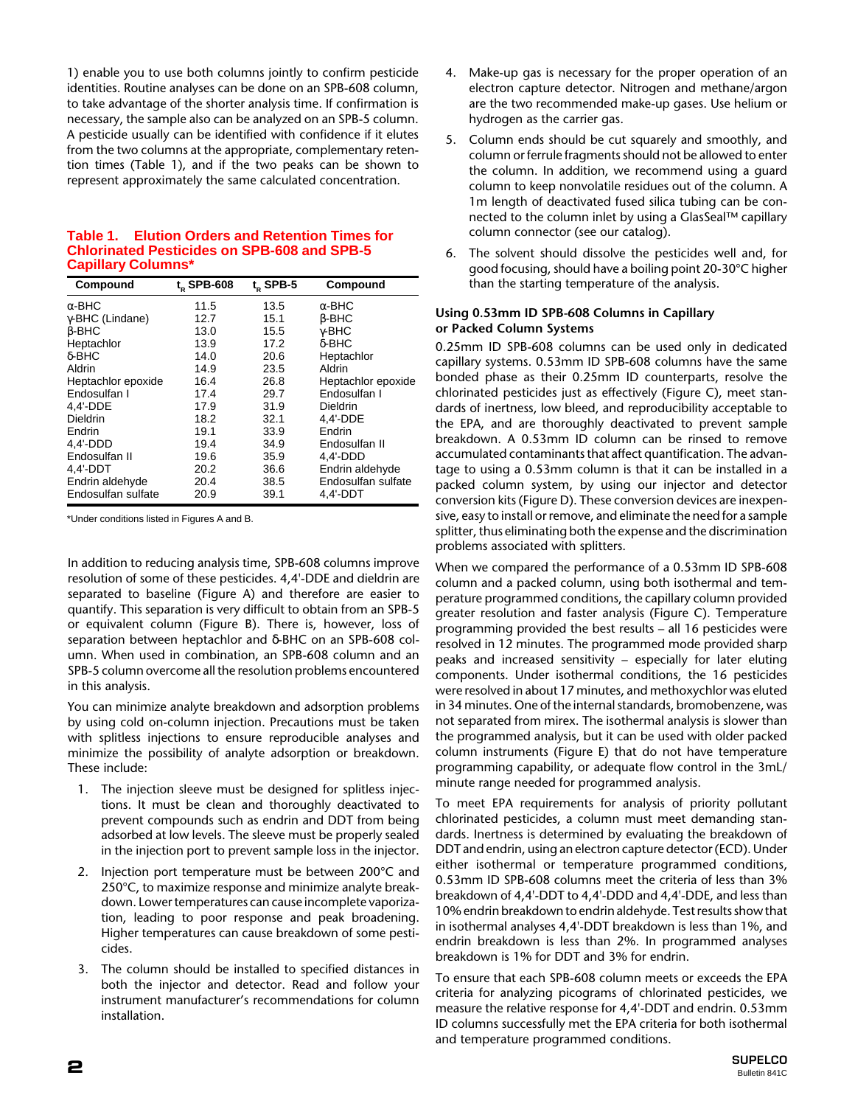1) enable you to use both columns jointly to confirm pesticide identities. Routine analyses can be done on an SPB-608 column, to take advantage of the shorter analysis time. If confirmation is necessary, the sample also can be analyzed on an SPB-5 column. A pesticide usually can be identified with confidence if it elutes from the two columns at the appropriate, complementary retention times (Table 1), and if the two peaks can be shown to represent approximately the same calculated concentration.

## **Table 1. Elution Orders and Retention Times for Chlorinated Pesticides on SPB-608 and SPB-5 Capillary Columns\***

| Compound                | t. SPB-608 | $tn$ SPB-5 | Compound           |
|-------------------------|------------|------------|--------------------|
| $\alpha$ -BHC           | 11.5       | 13.5       | $\alpha$ -BHC      |
| $\gamma$ -BHC (Lindane) | 12.7       | 15.1       | $\beta$ -BHC       |
| $\beta$ -BHC            | 13.0       | 15.5       | $\gamma$ -BHC      |
| Heptachlor              | 13.9       | 17.2       | $\delta$ -BHC      |
| $\delta$ -BHC           | 14.0       | 20.6       | Heptachlor         |
| Aldrin                  | 14.9       | 23.5       | Aldrin             |
| Heptachlor epoxide      | 16.4       | 26.8       | Heptachlor epoxide |
| Endosulfan I            | 17.4       | 29.7       | Endosulfan I       |
| 4,4'-DDE                | 17.9       | 31.9       | Dieldrin           |
| Dieldrin                | 18.2       | 32.1       | 4.4'-DDE           |
| Endrin                  | 19.1       | 33.9       | Endrin             |
| $4.4'$ -DDD             | 19.4       | 34.9       | Endosulfan II      |
| Endosulfan II           | 19.6       | 35.9       | 4.4'-DDD           |
| $4.4'$ -DDT             | 20.2       | 36.6       | Endrin aldehyde    |
| Endrin aldehyde         | 20.4       | 38.5       | Endosulfan sulfate |
| Endosulfan sulfate      | 20.9       | 39.1       | 4.4'-DDT           |

\*Under conditions listed in Figures A and B.

In addition to reducing analysis time, SPB-608 columns improve resolution of some of these pesticides. 4,4'-DDE and dieldrin are separated to baseline (Figure A) and therefore are easier to quantify. This separation is very difficult to obtain from an SPB-5 or equivalent column (Figure B). There is, however, loss of separation between heptachlor and δ-BHC on an SPB-608 column. When used in combination, an SPB-608 column and an SPB-5 column overcome all the resolution problems encountered in this analysis.

You can minimize analyte breakdown and adsorption problems by using cold on-column injection. Precautions must be taken with splitless injections to ensure reproducible analyses and minimize the possibility of analyte adsorption or breakdown. These include:

- 1. The injection sleeve must be designed for splitless injections. It must be clean and thoroughly deactivated to prevent compounds such as endrin and DDT from being adsorbed at low levels. The sleeve must be properly sealed in the injection port to prevent sample loss in the injector.
- 2. Injection port temperature must be between 200°C and 250°C, to maximize response and minimize analyte breakdown. Lower temperatures can cause incomplete vaporization, leading to poor response and peak broadening. Higher temperatures can cause breakdown of some pesticides.
- 3. The column should be installed to specified distances in both the injector and detector. Read and follow your instrument manufacturer's recommendations for column installation.
- 4. Make-up gas is necessary for the proper operation of an electron capture detector. Nitrogen and methane/argon are the two recommended make-up gases. Use helium or hydrogen as the carrier gas.
- 5. Column ends should be cut squarely and smoothly, and column or ferrule fragments should not be allowed to enter the column. In addition, we recommend using a guard column to keep nonvolatile residues out of the column. A 1m length of deactivated fused silica tubing can be connected to the column inlet by using a GlasSeal™ capillary column connector (see our catalog).
- 6. The solvent should dissolve the pesticides well and, for good focusing, should have a boiling point 20-30°C higher than the starting temperature of the analysis.

## **Using 0.53mm ID SPB-608 Columns in Capillary or Packed Column Systems**

0.25mm ID SPB-608 columns can be used only in dedicated capillary systems. 0.53mm ID SPB-608 columns have the same bonded phase as their 0.25mm ID counterparts, resolve the chlorinated pesticides just as effectively (Figure C), meet standards of inertness, low bleed, and reproducibility acceptable to the EPA, and are thoroughly deactivated to prevent sample breakdown. A 0.53mm ID column can be rinsed to remove accumulated contaminants that affect quantification. The advantage to using a 0.53mm column is that it can be installed in a packed column system, by using our injector and detector conversion kits (Figure D). These conversion devices are inexpensive, easy to install or remove, and eliminate the need for a sample splitter, thus eliminating both the expense and the discrimination problems associated with splitters.

When we compared the performance of a 0.53mm ID SPB-608 column and a packed column, using both isothermal and temperature programmed conditions, the capillary column provided greater resolution and faster analysis (Figure C). Temperature programming provided the best results – all 16 pesticides were resolved in 12 minutes. The programmed mode provided sharp peaks and increased sensitivity – especially for later eluting components. Under isothermal conditions, the 16 pesticides were resolved in about 17 minutes, and methoxychlor was eluted in 34 minutes. One of the internal standards, bromobenzene, was not separated from mirex. The isothermal analysis is slower than the programmed analysis, but it can be used with older packed column instruments (Figure E) that do not have temperature programming capability, or adequate flow control in the 3mL/ minute range needed for programmed analysis.

To meet EPA requirements for analysis of priority pollutant chlorinated pesticides, a column must meet demanding standards. Inertness is determined by evaluating the breakdown of DDT and endrin, using an electron capture detector (ECD). Under either isothermal or temperature programmed conditions, 0.53mm ID SPB-608 columns meet the criteria of less than 3% breakdown of 4,4'-DDT to 4,4'-DDD and 4,4'-DDE, and less than 10% endrin breakdown to endrin aldehyde. Test results show that in isothermal analyses 4,4'-DDT breakdown is less than 1%, and endrin breakdown is less than 2%. In programmed analyses breakdown is 1% for DDT and 3% for endrin.

To ensure that each SPB-608 column meets or exceeds the EPA criteria for analyzing picograms of chlorinated pesticides, we measure the relative response for 4,4'-DDT and endrin. 0.53mm ID columns successfully met the EPA criteria for both isothermal and temperature programmed conditions.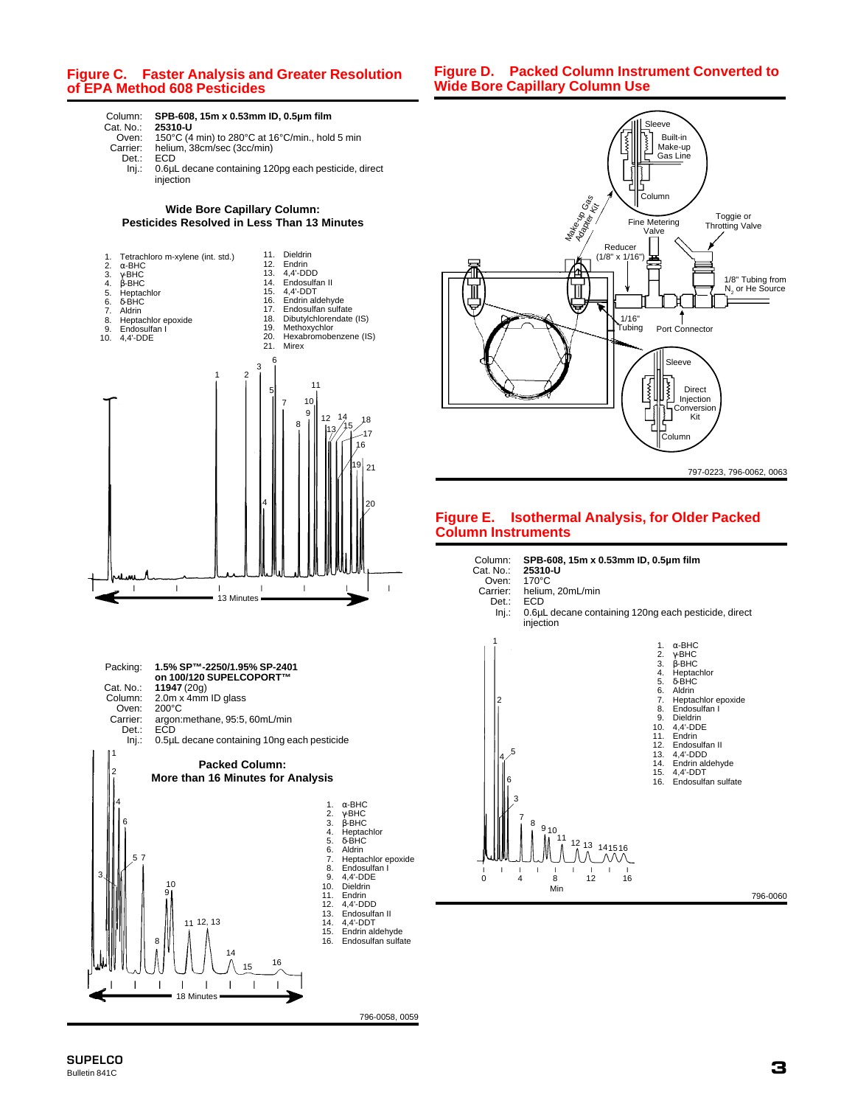## **Figure C. Faster Analysis and Greater Resolution of EPA Method 608 Pesticides**

**Figure D. Packed Column Instrument Converted to Wide Bore Capillary Column Use**



# Column: **SPB-608, 15m x 0.53mm ID, 0.5µm film**

Oven: 150°C (4 min) to 280°C at 16°C/min., hold 5 min Carrier: helium, 38cm/sec (3cc/min)

- Det.: ECD<br>Inj.: 0.6µl
	- 0.6µL decane containing 120pg each pesticide, direct injection

#### **Wide Bore Capillary Column: Pesticides Resolved in Less Than 13 Minutes**







## **Figure E. Isothermal Analysis, for Older Packed Column Instruments**



- Oven:<br>:Carrier: arrier: helium, 20mL/min<br>Det.: ECD
	-
	- Det.: ECD<br>Inj.: 0.6µl 0.6µL decane containing 120ng each pesticide, direct injection

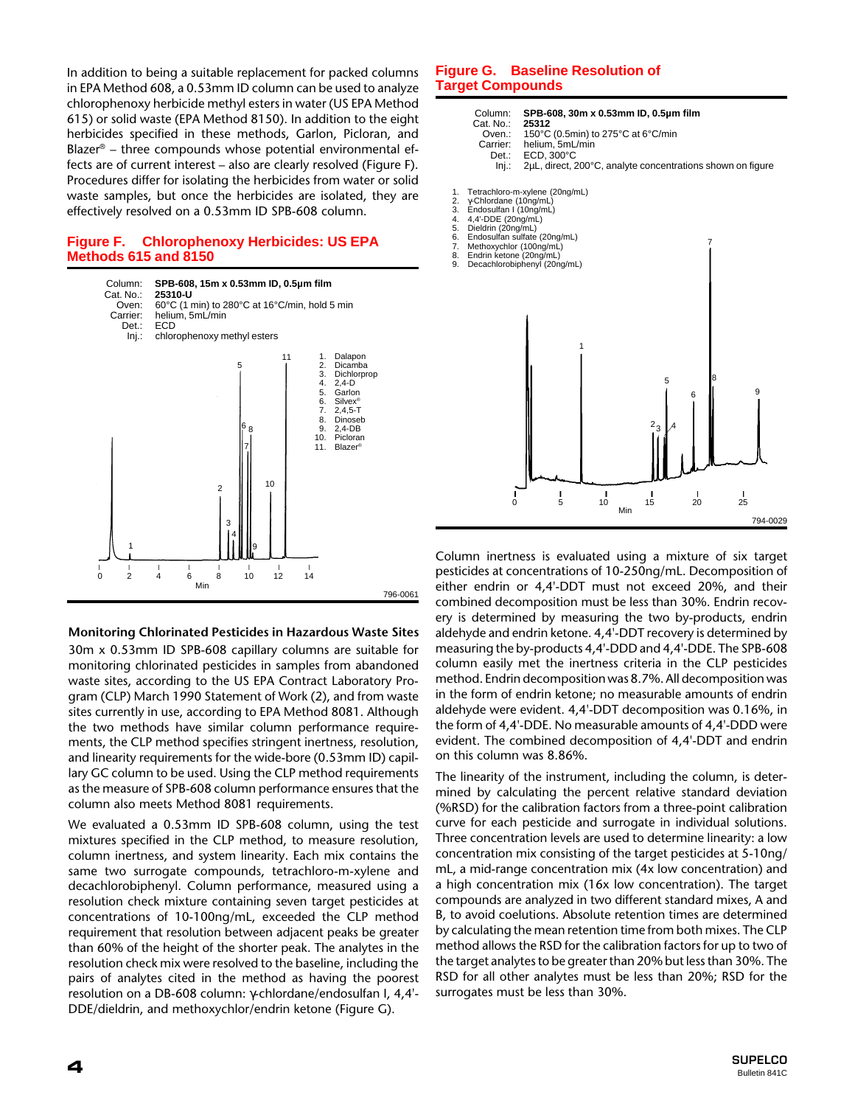In addition to being a suitable replacement for packed columns in EPA Method 608, a 0.53mm ID column can be used to analyze chlorophenoxy herbicide methyl esters in water (US EPA Method 615) or solid waste (EPA Method 8150). In addition to the eight herbicides specified in these methods, Garlon, Picloran, and Blazer® – three compounds whose potential environmental effects are of current interest – also are clearly resolved (Figure F). Procedures differ for isolating the herbicides from water or solid waste samples, but once the herbicides are isolated, they are effectively resolved on a 0.53mm ID SPB-608 column.

## **Figure F. Chlorophenoxy Herbicides: US EPA Methods 615 and 8150**



#### **Monitoring Chlorinated Pesticides in Hazardous Waste Sites**

30m x 0.53mm ID SPB-608 capillary columns are suitable for monitoring chlorinated pesticides in samples from abandoned waste sites, according to the US EPA Contract Laboratory Program (CLP) March 1990 Statement of Work (2), and from waste sites currently in use, according to EPA Method 8081. Although the two methods have similar column performance requirements, the CLP method specifies stringent inertness, resolution, and linearity requirements for the wide-bore (0.53mm ID) capillary GC column to be used. Using the CLP method requirements as the measure of SPB-608 column performance ensures that the column also meets Method 8081 requirements.

We evaluated a 0.53mm ID SPB-608 column, using the test mixtures specified in the CLP method, to measure resolution, column inertness, and system linearity. Each mix contains the same two surrogate compounds, tetrachloro-m-xylene and decachlorobiphenyl. Column performance, measured using a resolution check mixture containing seven target pesticides at concentrations of 10-100ng/mL, exceeded the CLP method requirement that resolution between adjacent peaks be greater than 60% of the height of the shorter peak. The analytes in the resolution check mix were resolved to the baseline, including the pairs of analytes cited in the method as having the poorest resolution on a DB-608 column: γ-chlordane/endosulfan I, 4,4'- DDE/dieldrin, and methoxychlor/endrin ketone (Figure G).

### **Figure G. Baseline Resolution of Target Compounds**

|                                                    | Column:<br>Cat. No.:<br>Oven.:<br>Carrier:<br>Det.:<br>Inj.:                                                                                      | 25312<br>helium, 5mL/min<br>ECD, 300°C                                                         | SPB-608, 30m x 0.53mm ID, 0.5um film<br>150°C (0.5min) to 275°C at 6°C/min<br>2µL, direct, 200°C, analyte concentrations shown on figure |                    |                   |                          |
|----------------------------------------------------|---------------------------------------------------------------------------------------------------------------------------------------------------|------------------------------------------------------------------------------------------------|------------------------------------------------------------------------------------------------------------------------------------------|--------------------|-------------------|--------------------------|
| 1.<br>2.<br>3.<br>4.<br>5.<br>6.<br>7.<br>8.<br>9. | y-Chlordane (10ng/mL)<br>Endosulfan I (10ng/mL)<br>4,4'-DDE (20ng/mL)<br>Dieldrin (20ng/mL)<br>Methoxychlor (100ng/mL)<br>Endrin ketone (20ng/mL) | Tetrachloro-m-xylene (20ng/mL)<br>Endosulfan sulfate (20ng/mL)<br>Decachlorobiphenyl (20ng/mL) |                                                                                                                                          |                    | 7                 |                          |
|                                                    | 0                                                                                                                                                 | ı<br>5                                                                                         | 1<br>ı<br>10<br>Min                                                                                                                      | 5<br>$2_{3}$<br>15 | 8<br>6<br>I<br>20 | 9<br>L<br>25<br>794-0029 |

Column inertness is evaluated using a mixture of six target pesticides at concentrations of 10-250ng/mL. Decomposition of either endrin or 4,4'-DDT must not exceed 20%, and their combined decomposition must be less than 30%. Endrin recovery is determined by measuring the two by-products, endrin aldehyde and endrin ketone. 4,4'-DDT recovery is determined by measuring the by-products 4,4'-DDD and 4,4'-DDE. The SPB-608 column easily met the inertness criteria in the CLP pesticides method. Endrin decomposition was 8.7%. All decomposition was in the form of endrin ketone; no measurable amounts of endrin aldehyde were evident. 4,4'-DDT decomposition was 0.16%, in the form of 4,4'-DDE. No measurable amounts of 4,4'-DDD were evident. The combined decomposition of 4,4'-DDT and endrin on this column was 8.86%.

The linearity of the instrument, including the column, is determined by calculating the percent relative standard deviation (%RSD) for the calibration factors from a three-point calibration curve for each pesticide and surrogate in individual solutions. Three concentration levels are used to determine linearity: a low concentration mix consisting of the target pesticides at 5-10ng/ mL, a mid-range concentration mix (4x low concentration) and a high concentration mix (16x low concentration). The target compounds are analyzed in two different standard mixes, A and B, to avoid coelutions. Absolute retention times are determined by calculating the mean retention time from both mixes. The CLP method allows the RSD for the calibration factors for up to two of the target analytes to be greater than 20% but less than 30%. The RSD for all other analytes must be less than 20%; RSD for the surrogates must be less than 30%.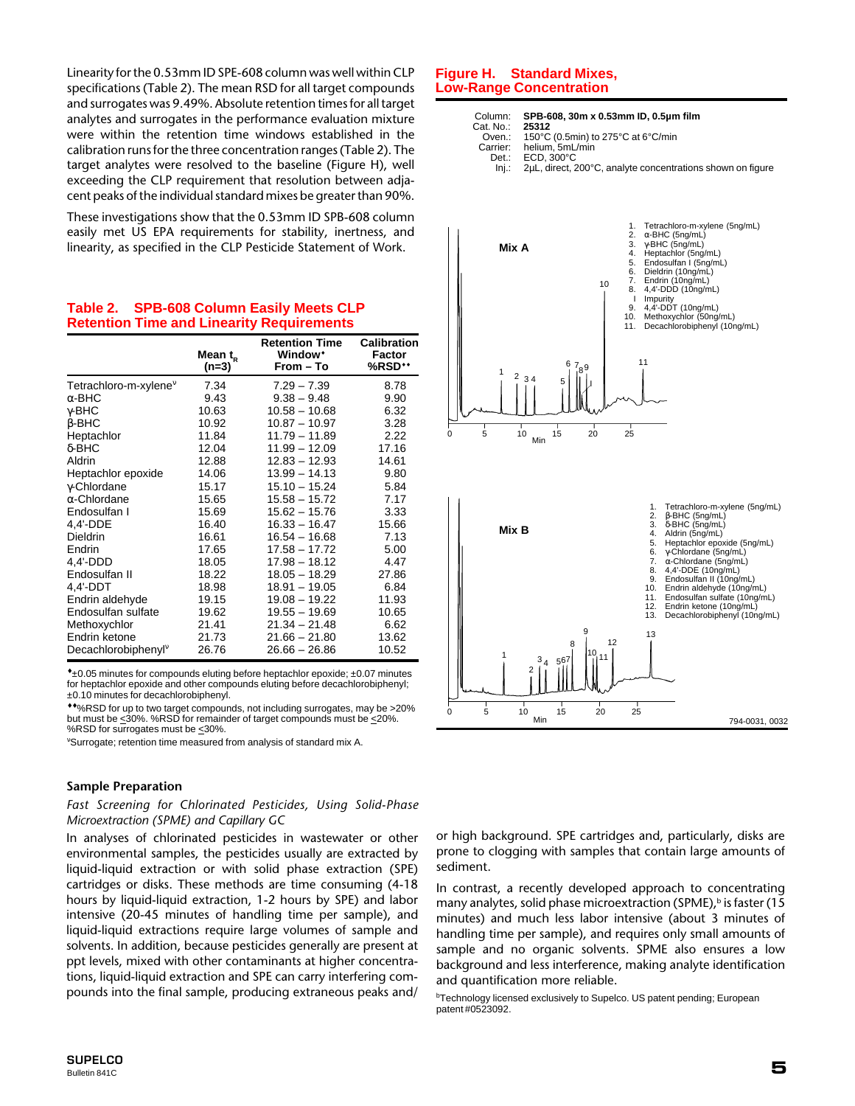Linearity for the 0.53mm ID SPE-608 column was well within CLP specifications (Table 2). The mean RSD for all target compounds and surrogates was 9.49%. Absolute retention times for all target analytes and surrogates in the performance evaluation mixture were within the retention time windows established in the calibration runs for the three concentration ranges (Table 2). The target analytes were resolved to the baseline (Figure H), well exceeding the CLP requirement that resolution between adjacent peaks of the individual standard mixes be greater than 90%.

These investigations show that the 0.53mm ID SPB-608 column easily met US EPA requirements for stability, inertness, and linearity, as specified in the CLP Pesticide Statement of Work.

|                                   | Mean $t_{R}$<br>(n=3) | <b>Retention Time</b><br>Window*<br>From – To | Calibration<br>Factor<br>%RSD** |
|-----------------------------------|-----------------------|-----------------------------------------------|---------------------------------|
| Tetrachloro-m-xylene <sup>v</sup> | 7.34                  | $7.29 - 7.39$                                 | 8.78                            |
| $\alpha$ -BHC                     | 9.43                  | $9.38 - 9.48$                                 | 9.90                            |
| γ-BHC                             | 10.63                 | $10.58 - 10.68$                               | 6.32                            |
| $\beta$ -BHC                      | 10.92                 | $10.87 - 10.97$                               | 3.28                            |
| Heptachlor                        | 11.84                 | 11.79 - 11.89                                 | 2.22                            |
| δ-BHC                             | 12.04                 | $11.99 - 12.09$                               | 17.16                           |
| Aldrin                            | 12.88                 | $12.83 - 12.93$                               | 14.61                           |
| Heptachlor epoxide                | 14.06                 | $13.99 - 14.13$                               | 9.80                            |
| γ-Chlordane                       | 15.17                 | $15.10 - 15.24$                               | 5.84                            |
| $\alpha$ -Chlordane               | 15.65                 | $15.58 - 15.72$                               | 7.17                            |
| Endosulfan I                      | 15.69                 | $15.62 - 15.76$                               | 3.33                            |
| 4,4'-DDE                          | 16.40                 | $16.33 - 16.47$                               | 15.66                           |
| <b>Dieldrin</b>                   | 16.61                 | $16.54 - 16.68$                               | 7.13                            |
| Endrin                            | 17.65                 | 17.58 - 17.72                                 | 5.00                            |
| 4,4'-DDD                          | 18.05                 | 17.98 - 18.12                                 | 4.47                            |
| Endosulfan II                     | 18.22                 | $18.05 - 18.29$                               | 27.86                           |
| 4,4'-DDT                          | 18.98                 | $18.91 - 19.05$                               | 6.84                            |
| Endrin aldehyde                   | 19.15                 | $19.08 - 19.22$                               | 11.93                           |
| Endosulfan sulfate                | 19.62                 | $19.55 - 19.69$                               | 10.65                           |
| Methoxychlor                      | 21.41                 | $21.34 - 21.48$                               | 6.62                            |
| Endrin ketone                     | 21.73                 | $21.66 - 21.80$                               | 13.62                           |
| Decachlorobiphenyl <sup>v</sup>   | 26.76                 | $26.66 - 26.86$                               | 10.52                           |

**Table 2. SPB-608 Column Easily Meets CLP Retention Time and Linearity Requirements**

\*±0.05 minutes for compounds eluting before heptachlor epoxide; ±0.07 minutes for heptachlor epoxide and other compounds eluting before decachlorobiphenyl; ±0.10 minutes for decachlorobiphenyl.

♦♦%RSD for up to two target compounds, not including surrogates, may be >20% but must be  $\leq 30\%$ . %RSD for remainder of target compounds must be  $\leq 20\%$ . %RSD for surrogates must be <30%

ν Surrogate; retention time measured from analysis of standard mix A.

#### **Sample Preparation**

*Fast Screening for Chlorinated Pesticides, Using Solid-Phase Microextraction (SPME) and Capillary GC*

In analyses of chlorinated pesticides in wastewater or other environmental samples, the pesticides usually are extracted by liquid-liquid extraction or with solid phase extraction (SPE) cartridges or disks. These methods are time consuming (4-18 hours by liquid-liquid extraction, 1-2 hours by SPE) and labor intensive (20-45 minutes of handling time per sample), and liquid-liquid extractions require large volumes of sample and solvents. In addition, because pesticides generally are present at ppt levels, mixed with other contaminants at higher concentrations, liquid-liquid extraction and SPE can carry interfering compounds into the final sample, producing extraneous peaks and/

#### **Figure H. Standard Mixes, Low-Range Concentration**



794-0031, 0032 0 5 10 15 20 25<br>Min 1 2  $3_4$  5<sup>6</sup> 8 5  $7\frac{10}{11}$ 11  $\frac{13}{12}$ 

or high background. SPE cartridges and, particularly, disks are prone to clogging with samples that contain large amounts of sediment.

In contrast, a recently developed approach to concentrating many analytes, solid phase microextraction (SPME), $\frac{b}{b}$  is faster (15 minutes) and much less labor intensive (about 3 minutes of handling time per sample), and requires only small amounts of sample and no organic solvents. SPME also ensures a low background and less interference, making analyte identification and quantification more reliable.

<sup>b</sup>Technology licensed exclusively to Supelco. US patent pending; European patent #0523092.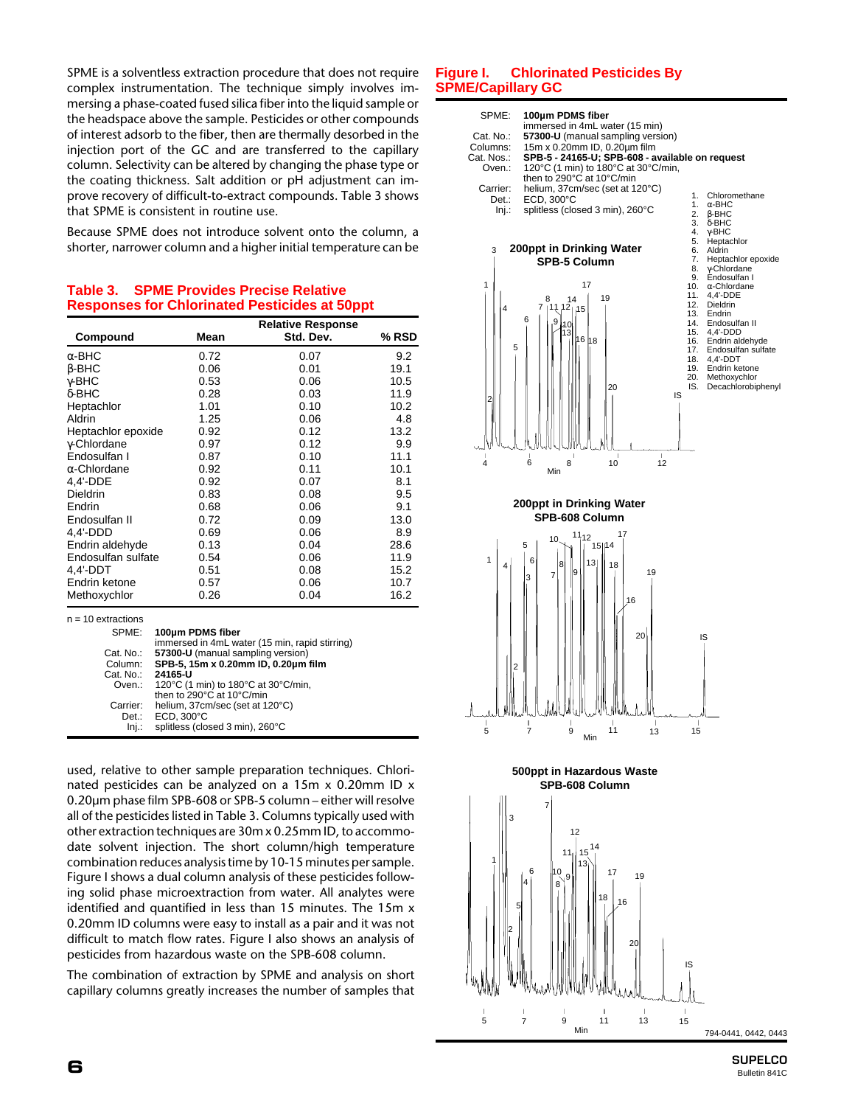SPME is a solventless extraction procedure that does not require complex instrumentation. The technique simply involves immersing a phase-coated fused silica fiber into the liquid sample or the headspace above the sample. Pesticides or other compounds of interest adsorb to the fiber, then are thermally desorbed in the injection port of the GC and are transferred to the capillary column. Selectivity can be altered by changing the phase type or the coating thickness. Salt addition or pH adjustment can improve recovery of difficult-to-extract compounds. Table 3 shows that SPME is consistent in routine use.

Because SPME does not introduce solvent onto the column, a shorter, narrower column and a higher initial temperature can be

## **Table 3. SPME Provides Precise Relative Responses for Chlorinated Pesticides at 50ppt**

| Compound             | Mean                                                                     | <b>Relative Response</b><br>Std. Dev.          | % RSD |
|----------------------|--------------------------------------------------------------------------|------------------------------------------------|-------|
| $\alpha$ -BHC        | 0.72                                                                     | 0.07                                           | 9.2   |
| $\beta$ -BHC         | 0.06                                                                     | 0.01                                           | 19.1  |
| $\gamma$ -BHC        | 0.53                                                                     | 0.06                                           | 10.5  |
| $\delta$ -BHC        | 0.28                                                                     | 0.03                                           | 11.9  |
| Heptachlor           | 1.01                                                                     | 0.10                                           | 10.2  |
| Aldrin               | 1.25                                                                     | 0.06                                           | 4.8   |
| Heptachlor epoxide   | 0.92                                                                     | 0.12                                           | 13.2  |
| y-Chlordane          | 0.97                                                                     | 0.12                                           | 9.9   |
| Endosulfan I         | 0.87                                                                     | 0.10                                           | 11.1  |
| $\alpha$ -Chlordane  | 0.92                                                                     | 0.11                                           | 10.1  |
| 4,4'-DDE             | 0.92                                                                     | 0.07                                           | 8.1   |
| Dieldrin             | 0.83                                                                     | 0.08                                           | 9.5   |
| Endrin               | 0.68                                                                     | 0.06                                           | 9.1   |
| Endosulfan II        | 0.72                                                                     | 0.09                                           | 13.0  |
| 4,4'-DDD             | 0.69                                                                     | 0.06                                           | 8.9   |
| Endrin aldehyde      | 0.13                                                                     | 0.04                                           | 28.6  |
| Endosulfan sulfate   | 0.54                                                                     | 0.06                                           | 11.9  |
| 4,4'-DDT             | 0.51                                                                     | 0.08                                           | 15.2  |
| Endrin ketone        | 0.57                                                                     | 0.06                                           | 10.7  |
| Methoxychlor         | 0.26                                                                     | 0.04                                           | 16.2  |
| $n = 10$ extractions |                                                                          |                                                |       |
| SPME:                | 100um PDMS fiber                                                         |                                                |       |
|                      |                                                                          | immersed in 4mL water (15 min, rapid stirring) |       |
| Cat. No.:<br>Column: | 57300-U (manual sampling version)<br>SPB-5, 15m x 0.20mm ID, 0.20µm film |                                                |       |
| Cat. No.:            | 24165-U                                                                  |                                                |       |
| Oven.:               | 120°C (1 min) to 180°C at 30°C/min,                                      |                                                |       |
|                      | then to 290°C at 10°C/min                                                |                                                |       |
| Carrier:             | helium, 37cm/sec (set at 120°C)                                          |                                                |       |
| Det.:<br>Inj.        | ECD, 300°C<br>splitless (closed 3 min), 260°C                            |                                                |       |
|                      |                                                                          |                                                |       |

used, relative to other sample preparation techniques. Chlorinated pesticides can be analyzed on a 15m x 0.20mm ID x 0.20µm phase film SPB-608 or SPB-5 column – either will resolve all of the pesticides listed in Table 3. Columns typically used with other extraction techniques are 30m x 0.25mm ID, to accommodate solvent injection. The short column/high temperature combination reduces analysis time by 10-15 minutes per sample. Figure I shows a dual column analysis of these pesticides following solid phase microextraction from water. All analytes were identified and quantified in less than 15 minutes. The 15m x 0.20mm ID columns were easy to install as a pair and it was not difficult to match flow rates. Figure I also shows an analysis of pesticides from hazardous waste on the SPB-608 column.

The combination of extraction by SPME and analysis on short capillary columns greatly increases the number of samples that

## **Figure I. Chlorinated Pesticides By SPME/Capillary GC**



#### **500ppt in Hazardous Waste SPB-608 Column**



**SUPELCO 6** Bulletin 841C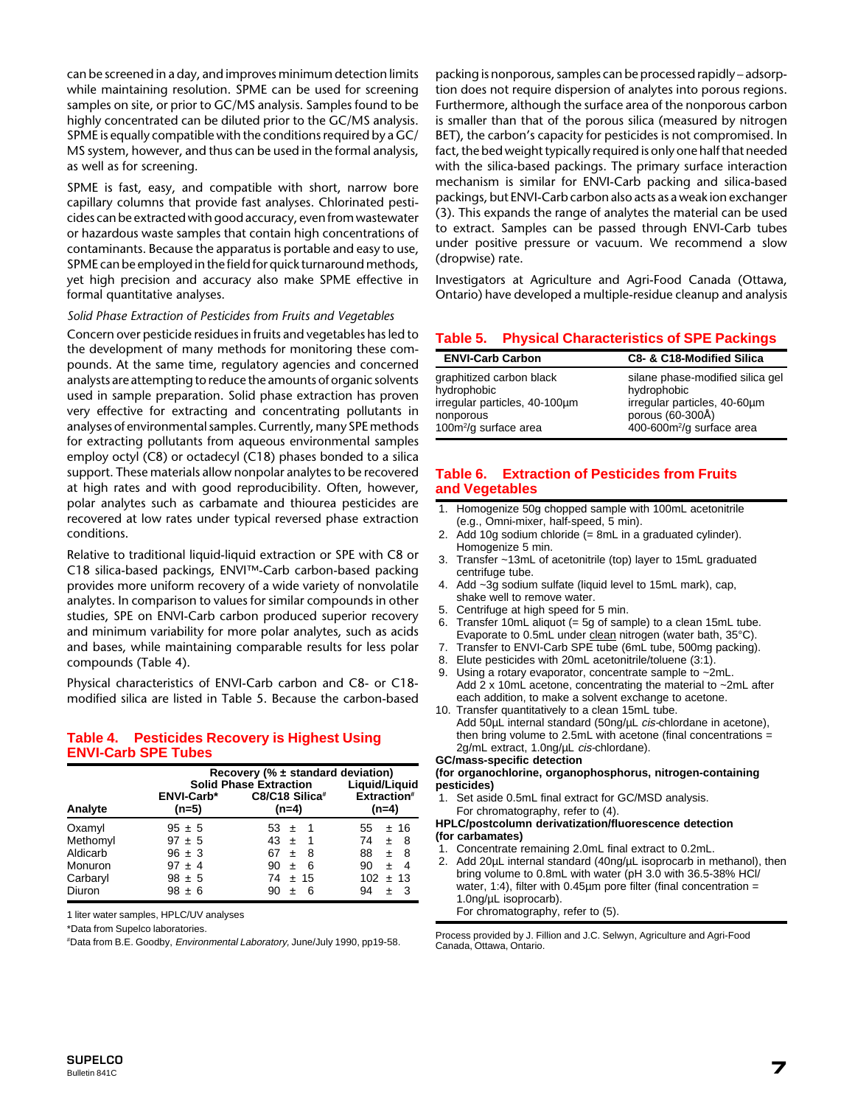can be screened in a day, and improves minimum detection limits while maintaining resolution. SPME can be used for screening samples on site, or prior to GC/MS analysis. Samples found to be highly concentrated can be diluted prior to the GC/MS analysis. SPME is equally compatible with the conditions required by a GC/ MS system, however, and thus can be used in the formal analysis, as well as for screening.

SPME is fast, easy, and compatible with short, narrow bore capillary columns that provide fast analyses. Chlorinated pesticides can be extracted with good accuracy, even from wastewater or hazardous waste samples that contain high concentrations of contaminants. Because the apparatus is portable and easy to use, SPME can be employed in the field for quick turnaround methods, yet high precision and accuracy also make SPME effective in formal quantitative analyses.

#### *Solid Phase Extraction of Pesticides from Fruits and Vegetables*

Concern over pesticide residues in fruits and vegetables has led to the development of many methods for monitoring these compounds. At the same time, regulatory agencies and concerned analysts are attempting to reduce the amounts of organic solvents used in sample preparation. Solid phase extraction has proven very effective for extracting and concentrating pollutants in analyses of environmental samples. Currently, many SPE methods for extracting pollutants from aqueous environmental samples employ octyl (C8) or octadecyl (C18) phases bonded to a silica support. These materials allow nonpolar analytes to be recovered at high rates and with good reproducibility. Often, however, polar analytes such as carbamate and thiourea pesticides are recovered at low rates under typical reversed phase extraction conditions.

Relative to traditional liquid-liquid extraction or SPE with C8 or C18 silica-based packings, ENVI™-Carb carbon-based packing provides more uniform recovery of a wide variety of nonvolatile analytes. In comparison to values for similar compounds in other studies, SPE on ENVI-Carb carbon produced superior recovery and minimum variability for more polar analytes, such as acids and bases, while maintaining comparable results for less polar compounds (Table 4).

Physical characteristics of ENVI-Carb carbon and C8- or C18 modified silica are listed in Table 5. Because the carbon-based

## **Table 4. Pesticides Recovery is Highest Using ENVI-Carb SPE Tubes**

|                                                                 |                                                                                  | Recovery (% $\pm$ standard deviation)<br><b>Solid Phase Extraction</b>                                         | Liguid/Liguid                                                                                         |
|-----------------------------------------------------------------|----------------------------------------------------------------------------------|----------------------------------------------------------------------------------------------------------------|-------------------------------------------------------------------------------------------------------|
| Analyte                                                         | ENVI-Carb*<br>$(n=5)$                                                            | C8/C18 Silica#<br>$(n=4)$                                                                                      | Extraction#<br>$(n=4)$                                                                                |
| Oxamyl<br>Methomyl<br>Aldicarb<br>Monuron<br>Carbaryl<br>Diuron | $95 \pm 5$<br>$97 \pm 5$<br>$96 \pm 3$<br>$97 \pm 4$<br>$98 \pm 5$<br>$98 \pm 6$ | 53 $\pm$<br>$43 \pm$<br>- 1<br>67<br>- 8<br>$\pm$<br>- 6<br>90<br>$\pm$<br>$74 \pm 15$<br>6<br>90<br>$\ddot{}$ | ±16<br>55<br>74<br>8<br>Ŧ<br>88<br>- 8<br>±.<br>90<br>4<br>$\ddot{}$<br>$102 \pm 13$<br>94<br>-3<br>+ |

1 liter water samples, HPLC/UV analyses

\*Data from Supelco laboratories.

# Data from B.E. Goodby, Environmental Laboratory, June/July 1990, pp19-58.

packing is nonporous, samples can be processed rapidly – adsorption does not require dispersion of analytes into porous regions. Furthermore, although the surface area of the nonporous carbon is smaller than that of the porous silica (measured by nitrogen BET), the carbon's capacity for pesticides is not compromised. In fact, the bed weight typically required is only one half that needed with the silica-based packings. The primary surface interaction mechanism is similar for ENVI-Carb packing and silica-based packings, but ENVI-Carb carbon also acts as a weak ion exchanger (3). This expands the range of analytes the material can be used to extract. Samples can be passed through ENVI-Carb tubes under positive pressure or vacuum. We recommend a slow (dropwise) rate.

Investigators at Agriculture and Agri-Food Canada (Ottawa, Ontario) have developed a multiple-residue cleanup and analysis

### **Table 5. Physical Characteristics of SPE Packings**

| <b>ENVI-Carb Carbon</b>                                                                                                    | C8- & C18-Modified Silica                                                                                                                    |
|----------------------------------------------------------------------------------------------------------------------------|----------------------------------------------------------------------------------------------------------------------------------------------|
| graphitized carbon black<br>hydrophobic<br>irregular particles, 40-100um<br>nonporous<br>100m <sup>2</sup> /g surface area | silane phase-modified silica gel<br>hydrophobic<br>irregular particles, 40-60µm<br>porous (60-300Å)<br>400-600m <sup>2</sup> /g surface area |

## **Table 6. Extraction of Pesticides from Fruits and Vegetables**

- 1. Homogenize 50g chopped sample with 100mL acetonitrile (e.g., Omni-mixer, half-speed, 5 min).
- 2. Add 10g sodium chloride (= 8mL in a graduated cylinder). Homogenize 5 min.
- 3. Transfer ~13mL of acetonitrile (top) layer to 15mL graduated centrifuge tube.
- 4. Add ~3g sodium sulfate (liquid level to 15mL mark), cap, shake well to remove water.
- 5. Centrifuge at high speed for 5 min.
- 6. Transfer 10mL aliquot (= 5g of sample) to a clean 15mL tube. Evaporate to 0.5mL under clean nitrogen (water bath, 35°C).
- 7. Transfer to ENVI-Carb SPE tube (6mL tube, 500mg packing).
- 8. Elute pesticides with 20mL acetonitrile/toluene (3:1).
- 9. Using a rotary evaporator, concentrate sample to ~2mL Add 2 x 10mL acetone, concentrating the material to ~2mL after each addition, to make a solvent exchange to acetone.
- 10. Transfer quantitatively to a clean 15mL tube. Add 50µL internal standard (50ng/µL cis-chlordane in acetone), then bring volume to 2.5mL with acetone (final concentrations = 2g/mL extract, 1.0ng/uL cis-chlordane).

#### **GC/mass-specific detection**

**(for organochlorine, organophosphorus, nitrogen-containing pesticides)**

Set aside 0.5mL final extract for GC/MSD analysis. For chromatography, refer to (4).

#### **HPLC/postcolumn derivatization/fluorescence detection (for carbamates)**

- 1. Concentrate remaining 2.0mL final extract to 0.2mL.
- 2. Add 20µL internal standard (40ng/µL isoprocarb in methanol), then bring volume to 0.8mL with water (pH 3.0 with 36.5-38% HCl/ water, 1:4), filter with  $0.45\mu m$  pore filter (final concentration = 1.0ng/µL isoprocarb). For chromatography, refer to (5).

Process provided by J. Fillion and J.C. Selwyn, Agriculture and Agri-Food Canada, Ottawa, Ontario.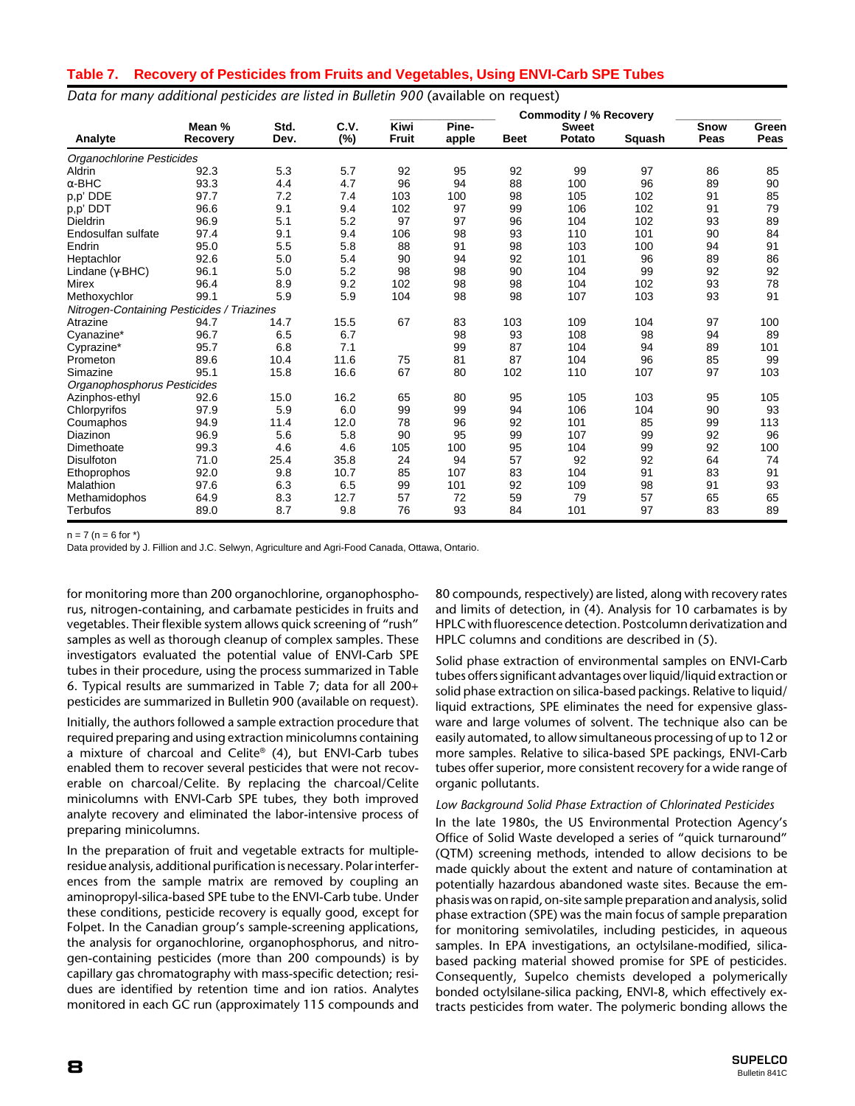## **Table 7. Recovery of Pesticides from Fruits and Vegetables, Using ENVI-Carb SPE Tubes**

Data for many additional pesticides are listed in Bulletin 900 (available on request)

|                                            |                    |              |                |                      |                |             | <b>Commodity / % Recovery</b> |        |              |               |
|--------------------------------------------|--------------------|--------------|----------------|----------------------|----------------|-------------|-------------------------------|--------|--------------|---------------|
| Analyte                                    | Mean %<br>Recovery | Std.<br>Dev. | C.V.<br>$(\%)$ | Kiwi<br><b>Fruit</b> | Pine-<br>apple | <b>Beet</b> | <b>Sweet</b><br>Potato        | Squash | Snow<br>Peas | Green<br>Peas |
| Organochlorine Pesticides                  |                    |              |                |                      |                |             |                               |        |              |               |
| Aldrin                                     | 92.3               | 5.3          | 5.7            | 92                   | 95             | 92          | 99                            | 97     | 86           | 85            |
| $\alpha$ -BHC                              | 93.3               | 4.4          | 4.7            | 96                   | 94             | 88          | 100                           | 96     | 89           | 90            |
| p,p' DDE                                   | 97.7               | 7.2          | 7.4            | 103                  | 100            | 98          | 105                           | 102    | 91           | 85            |
| p,p' DDT                                   | 96.6               | 9.1          | 9.4            | 102                  | 97             | 99          | 106                           | 102    | 91           | 79            |
| Dieldrin                                   | 96.9               | 5.1          | 5.2            | 97                   | 97             | 96          | 104                           | 102    | 93           | 89            |
| Endosulfan sulfate                         | 97.4               | 9.1          | 9.4            | 106                  | 98             | 93          | 110                           | 101    | 90           | 84            |
| Endrin                                     | 95.0               | 5.5          | 5.8            | 88                   | 91             | 98          | 103                           | 100    | 94           | 91            |
| Heptachlor                                 | 92.6               | 5.0          | 5.4            | 90                   | 94             | 92          | 101                           | 96     | 89           | 86            |
| Lindane $(\gamma$ -BHC)                    | 96.1               | 5.0          | 5.2            | 98                   | 98             | 90          | 104                           | 99     | 92           | 92            |
| Mirex                                      | 96.4               | 8.9          | 9.2            | 102                  | 98             | 98          | 104                           | 102    | 93           | 78            |
| Methoxychlor                               | 99.1               | 5.9          | 5.9            | 104                  | 98             | 98          | 107                           | 103    | 93           | 91            |
| Nitrogen-Containing Pesticides / Triazines |                    |              |                |                      |                |             |                               |        |              |               |
| Atrazine                                   | 94.7               | 14.7         | 15.5           | 67                   | 83             | 103         | 109                           | 104    | 97           | 100           |
| Cyanazine*                                 | 96.7               | 6.5          | 6.7            |                      | 98             | 93          | 108                           | 98     | 94           | 89            |
| Cyprazine*                                 | 95.7               | 6.8          | 7.1            |                      | 99             | 87          | 104                           | 94     | 89           | 101           |
| Prometon                                   | 89.6               | 10.4         | 11.6           | 75                   | 81             | 87          | 104                           | 96     | 85           | 99            |
| Simazine                                   | 95.1               | 15.8         | 16.6           | 67                   | 80             | 102         | 110                           | 107    | 97           | 103           |
| Organophosphorus Pesticides                |                    |              |                |                      |                |             |                               |        |              |               |
| Azinphos-ethyl                             | 92.6               | 15.0         | 16.2           | 65                   | 80             | 95          | 105                           | 103    | 95           | 105           |
| Chlorpyrifos                               | 97.9               | 5.9          | 6.0            | 99                   | 99             | 94          | 106                           | 104    | 90           | 93            |
| Coumaphos                                  | 94.9               | 11.4         | 12.0           | 78                   | 96             | 92          | 101                           | 85     | 99           | 113           |
| Diazinon                                   | 96.9               | 5.6          | 5.8            | 90                   | 95             | 99          | 107                           | 99     | 92           | 96            |
| Dimethoate                                 | 99.3               | 4.6          | 4.6            | 105                  | 100            | 95          | 104                           | 99     | 92           | 100           |
| Disulfoton                                 | 71.0               | 25.4         | 35.8           | 24                   | 94             | 57          | 92                            | 92     | 64           | 74            |
| Ethoprophos                                | 92.0               | 9.8          | 10.7           | 85                   | 107            | 83          | 104                           | 91     | 83           | 91            |
| Malathion                                  | 97.6               | 6.3          | 6.5            | 99                   | 101            | 92          | 109                           | 98     | 91           | 93            |
| Methamidophos                              | 64.9               | 8.3          | 12.7           | 57                   | 72             | 59          | 79                            | 57     | 65           | 65            |
| Terbufos                                   | 89.0               | 8.7          | 9.8            | 76                   | 93             | 84          | 101                           | 97     | 83           | 89            |

 $n = 7$  ( $n = 6$  for  $*$ )

Data provided by J. Fillion and J.C. Selwyn, Agriculture and Agri-Food Canada, Ottawa, Ontario.

for monitoring more than 200 organochlorine, organophosphorus, nitrogen-containing, and carbamate pesticides in fruits and vegetables. Their flexible system allows quick screening of "rush" samples as well as thorough cleanup of complex samples. These investigators evaluated the potential value of ENVI-Carb SPE tubes in their procedure, using the process summarized in Table 6. Typical results are summarized in Table 7; data for all 200+ pesticides are summarized in Bulletin 900 (available on request).

Initially, the authors followed a sample extraction procedure that required preparing and using extraction minicolumns containing a mixture of charcoal and Celite® (4), but ENVI-Carb tubes enabled them to recover several pesticides that were not recoverable on charcoal/Celite. By replacing the charcoal/Celite minicolumns with ENVI-Carb SPE tubes, they both improved analyte recovery and eliminated the labor-intensive process of preparing minicolumns.

In the preparation of fruit and vegetable extracts for multipleresidue analysis, additional purification is necessary. Polar interferences from the sample matrix are removed by coupling an aminopropyl-silica-based SPE tube to the ENVI-Carb tube. Under these conditions, pesticide recovery is equally good, except for Folpet. In the Canadian group's sample-screening applications, the analysis for organochlorine, organophosphorus, and nitrogen-containing pesticides (more than 200 compounds) is by capillary gas chromatography with mass-specific detection; residues are identified by retention time and ion ratios. Analytes monitored in each GC run (approximately 115 compounds and

80 compounds, respectively) are listed, along with recovery rates and limits of detection, in (4). Analysis for 10 carbamates is by HPLC with fluorescence detection. Postcolumn derivatization and HPLC columns and conditions are described in (5).

Solid phase extraction of environmental samples on ENVI-Carb tubes offers significant advantages over liquid/liquid extraction or solid phase extraction on silica-based packings. Relative to liquid/ liquid extractions, SPE eliminates the need for expensive glassware and large volumes of solvent. The technique also can be easily automated, to allow simultaneous processing of up to 12 or more samples. Relative to silica-based SPE packings, ENVI-Carb tubes offer superior, more consistent recovery for a wide range of organic pollutants.

#### *Low Background Solid Phase Extraction of Chlorinated Pesticides*

In the late 1980s, the US Environmental Protection Agency's Office of Solid Waste developed a series of "quick turnaround" (QTM) screening methods, intended to allow decisions to be made quickly about the extent and nature of contamination at potentially hazardous abandoned waste sites. Because the emphasis was on rapid, on-site sample preparation and analysis, solid phase extraction (SPE) was the main focus of sample preparation for monitoring semivolatiles, including pesticides, in aqueous samples. In EPA investigations, an octylsilane-modified, silicabased packing material showed promise for SPE of pesticides. Consequently, Supelco chemists developed a polymerically bonded octylsilane-silica packing, ENVI-8, which effectively extracts pesticides from water. The polymeric bonding allows the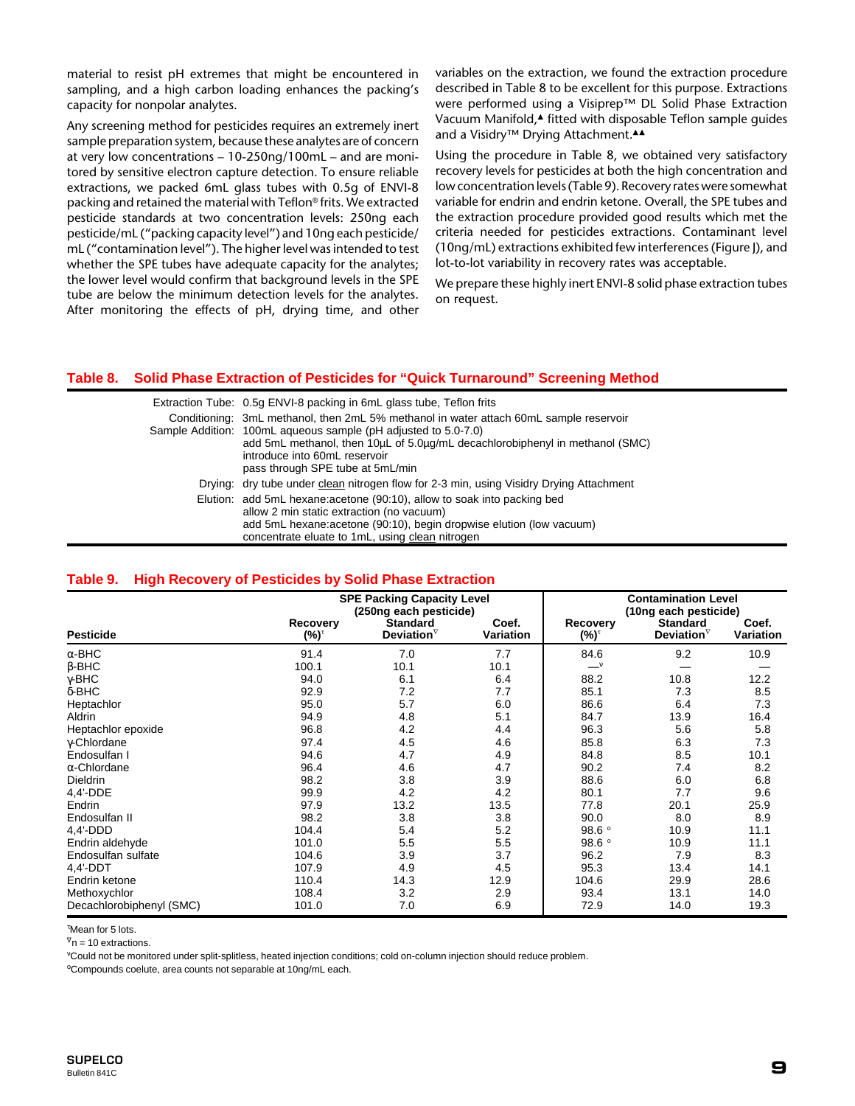material to resist pH extremes that might be encountered in sampling, and a high carbon loading enhances the packing's capacity for nonpolar analytes.

Any screening method for pesticides requires an extremely inert sample preparation system, because these analytes are of concern at very low concentrations – 10-250ng/100mL – and are monitored by sensitive electron capture detection. To ensure reliable extractions, we packed 6mL glass tubes with 0.5g of ENVI-8 packing and retained the material with Teflon® frits. We extracted pesticide standards at two concentration levels: 250ng each pesticide/mL ("packing capacity level") and 10ng each pesticide/ mL ("contamination level"). The higher level was intended to test whether the SPE tubes have adequate capacity for the analytes; the lower level would confirm that background levels in the SPE tube are below the minimum detection levels for the analytes. After monitoring the effects of pH, drying time, and other

variables on the extraction, we found the extraction procedure described in Table 8 to be excellent for this purpose. Extractions were performed using a Visiprep™ DL Solid Phase Extraction Vacuum Manifold,▲ fitted with disposable Teflon sample guides and a Visidry™ Drying Attachment.▲▲

Using the procedure in Table 8, we obtained very satisfactory recovery levels for pesticides at both the high concentration and low concentration levels (Table 9). Recovery rates were somewhat variable for endrin and endrin ketone. Overall, the SPE tubes and the extraction procedure provided good results which met the criteria needed for pesticides extractions. Contaminant level (10ng/mL) extractions exhibited few interferences (Figure J), and lot-to-lot variability in recovery rates was acceptable.

We prepare these highly inert ENVI-8 solid phase extraction tubes on request.

### **Table 8. Solid Phase Extraction of Pesticides for "Quick Turnaround" Screening Method**

| Extraction Tube: 0.5g ENVI-8 packing in 6mL glass tube, Teflon frits<br>Conditioning: 3mL methanol, then 2mL 5% methanol in water attach 60mL sample reservoir<br>Sample Addition: 100mL aqueous sample (pH adjusted to 5.0-7.0)<br>add 5mL methanol, then 10µL of 5.0µg/mL decachlorobiphenyl in methanol (SMC)<br>introduce into 60mL reservoir<br>pass through SPE tube at 5mL/min |
|---------------------------------------------------------------------------------------------------------------------------------------------------------------------------------------------------------------------------------------------------------------------------------------------------------------------------------------------------------------------------------------|
| Drying: dry tube under clean nitrogen flow for 2-3 min, using Visidry Drying Attachment                                                                                                                                                                                                                                                                                               |
| Elution: add 5mL hexane: acetone (90:10), allow to soak into packing bed<br>allow 2 min static extraction (no vacuum)<br>add 5mL hexane: acetone (90:10), begin dropwise elution (low vacuum)<br>concentrate eluate to 1mL, using clean nitrogen                                                                                                                                      |

#### **Table 9. High Recovery of Pesticides by Solid Phase Extraction**

|                          |                         | <b>SPE Packing Capacity Level</b><br>(250ng each pesticide) |                           |                  | <b>Contamination Level</b><br>(10ng each pesticide) |                           |
|--------------------------|-------------------------|-------------------------------------------------------------|---------------------------|------------------|-----------------------------------------------------|---------------------------|
| <b>Pesticide</b>         | <b>Recovery</b><br>(%)™ | <b>Standard</b><br>Deviation $\nabla$                       | Coef.<br><b>Variation</b> | Recovery<br>(%)™ | <b>Standard</b><br>Deviation $\nabla$               | Coef.<br><b>Variation</b> |
| $\alpha$ -BHC            | 91.4                    | 7.0                                                         | 7.7                       | 84.6             | 9.2                                                 | 10.9                      |
| $\beta$ -BHC             | 100.1                   | 10.1                                                        | 10.1                      |                  |                                                     |                           |
| $\gamma$ -BHC            | 94.0                    | 6.1                                                         | 6.4                       | 88.2             | 10.8                                                | 12.2                      |
| $\delta$ -BHC            | 92.9                    | 7.2                                                         | 7.7                       | 85.1             | 7.3                                                 | 8.5                       |
| Heptachlor               | 95.0                    | 5.7                                                         | 6.0                       | 86.6             | 6.4                                                 | 7.3                       |
| Aldrin                   | 94.9                    | 4.8                                                         | 5.1                       | 84.7             | 13.9                                                | 16.4                      |
| Heptachlor epoxide       | 96.8                    | 4.2                                                         | 4.4                       | 96.3             | 5.6                                                 | 5.8                       |
| y-Chlordane              | 97.4                    | 4.5                                                         | 4.6                       | 85.8             | 6.3                                                 | 7.3                       |
| Endosulfan I             | 94.6                    | 4.7                                                         | 4.9                       | 84.8             | 8.5                                                 | 10.1                      |
| $\alpha$ -Chlordane      | 96.4                    | 4.6                                                         | 4.7                       | 90.2             | 7.4                                                 | 8.2                       |
| Dieldrin                 | 98.2                    | 3.8                                                         | 3.9                       | 88.6             | 6.0                                                 | 6.8                       |
| 4,4'-DDE                 | 99.9                    | 4.2                                                         | 4.2                       | 80.1             | 7.7                                                 | 9.6                       |
| Endrin                   | 97.9                    | 13.2                                                        | 13.5                      | 77.8             | 20.1                                                | 25.9                      |
| Endosulfan II            | 98.2                    | 3.8                                                         | 3.8                       | 90.0             | 8.0                                                 | 8.9                       |
| $4.4'$ -DDD              | 104.4                   | 5.4                                                         | 5.2                       | 98.6°            | 10.9                                                | 11.1                      |
| Endrin aldehyde          | 101.0                   | 5.5                                                         | 5.5                       | 98.6°            | 10.9                                                | 11.1                      |
| Endosulfan sulfate       | 104.6                   | 3.9                                                         | 3.7                       | 96.2             | 7.9                                                 | 8.3                       |
| 4.4'-DDT                 | 107.9                   | 4.9                                                         | 4.5                       | 95.3             | 13.4                                                | 14.1                      |
| Endrin ketone            | 110.4                   | 14.3                                                        | 12.9                      | 104.6            | 29.9                                                | 28.6                      |
| Methoxychlor             | 108.4                   | 3.2                                                         | 2.9                       | 93.4             | 13.1                                                | 14.0                      |
| Decachlorobiphenyl (SMC) | 101.0                   | 7.0                                                         | 6.9                       | 72.9             | 14.0                                                | 19.3                      |

τ Mean for 5 lots.

 $V_n$  = 10 extractions.

ν Could not be monitored under split-splitless, heated injection conditions; cold on-column injection should reduce problem.

<sup>o</sup>Compounds coelute, area counts not separable at 10ng/mL each.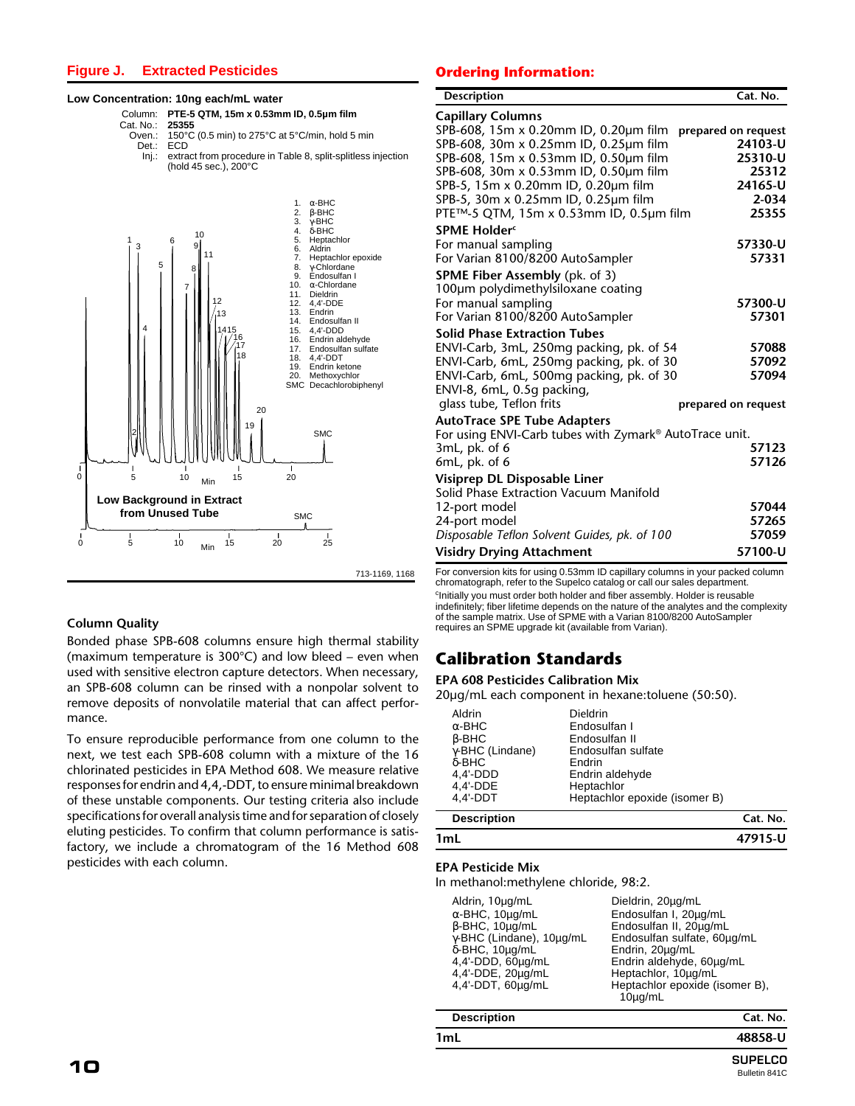## **Figure J. Extracted Pesticides**

#### **Low Concentration: 10ng each/mL water**

Column: **PTE-5 QTM, 15m x 0.53mm ID, 0.5µm film**

- Cat. No.:<br> **25. Oven** 
	- Oven.:  $150^{\circ}$ C (0.5 min) to 275°C at 5°C/min, hold 5 min<br>Det.: ECD Det.: ECD Inj.: extract from procedure in Table 8, split-splitless injection
	- (hold 45 sec.), 200°C



## **Column Quality**

Bonded phase SPB-608 columns ensure high thermal stability (maximum temperature is 300°C) and low bleed – even when used with sensitive electron capture detectors. When necessary, an SPB-608 column can be rinsed with a nonpolar solvent to remove deposits of nonvolatile material that can affect performance.

To ensure reproducible performance from one column to the next, we test each SPB-608 column with a mixture of the 16 chlorinated pesticides in EPA Method 608. We measure relative responses for endrin and 4,4,-DDT, to ensure minimal breakdown of these unstable components. Our testing criteria also include specifications for overall analysis time and for separation of closely eluting pesticides. To confirm that column performance is satisfactory, we include a chromatogram of the 16 Method 608 pesticides with each column.

#### **Ordering Information:**

| <b>Description</b>                                                             | Cat. No.                       |
|--------------------------------------------------------------------------------|--------------------------------|
| <b>Capillary Columns</b>                                                       |                                |
| SPB-608, 15m x 0.20mm ID, 0.20µm film<br>SPB-608, 30m x 0.25mm ID, 0.25um film | prepared on request<br>24103-U |
| SPB-608, 15m x 0.53mm ID, 0.50um film                                          | 25310-U                        |
| SPB-608, 30m x 0.53mm ID, 0.50µm film                                          | 25312                          |
| SPB-5, 15m x 0.20mm ID, 0.20µm film                                            | 24165-U                        |
| SPB-5, 30m x 0.25mm ID, 0.25µm film                                            | $2 - 034$                      |
| PTE™-5 QTM, 15m x 0.53mm ID, 0.5µm film                                        | 25355                          |
| SPME Holder <sup>c</sup>                                                       |                                |
| For manual sampling                                                            | 57330-U                        |
| For Varian 8100/8200 AutoSampler                                               | 57331                          |
| <b>SPME Fiber Assembly (pk. of 3)</b>                                          |                                |
| 100µm polydimethylsiloxane coating                                             |                                |
| For manual sampling                                                            | 57300-U                        |
| For Varian 8100/8200 AutoSampler                                               | 57301                          |
| <b>Solid Phase Extraction Tubes</b>                                            |                                |
| ENVI-Carb, 3mL, 250mg packing, pk. of 54                                       | 57088                          |
| ENVI-Carb, 6mL, 250mg packing, pk. of 30                                       | 57092                          |
| ENVI-Carb, 6mL, 500mg packing, pk. of 30                                       | 57094                          |
| ENVI-8, 6mL, 0.5g packing,                                                     |                                |
| glass tube, Teflon frits                                                       | prepared on request            |
| <b>AutoTrace SPE Tube Adapters</b>                                             |                                |
| For using ENVI-Carb tubes with Zymark® AutoTrace unit.                         |                                |
| $3mL$ , pk. of 6                                                               | 57123                          |
| $6mL$ , pk. of $6$                                                             | 57126                          |
| Visiprep DL Disposable Liner                                                   |                                |
| Solid Phase Extraction Vacuum Manifold                                         |                                |
| 12-port model                                                                  | 57044                          |
| 24-port model                                                                  | 57265                          |
| Disposable Teflon Solvent Guides, pk. of 100                                   | 57059                          |
| <b>Visidry Drying Attachment</b>                                               | 57100-U                        |

For conversion kits for using 0.53mm ID capillary columns in your packed column chromatograph, refer to the Supelco catalog or call our sales department. <sup>c</sup>Initially you must order both holder and fiber assembly. Holder is reusable indefinitely; fiber lifetime depends on the nature of the analytes and the complexity of the sample matrix. Use of SPME with a Varian 8100/8200 AutoSampler requires an SPME upgrade kit (available from Varian).

## **Calibration Standards**

#### **EPA 608 Pesticides Calibration Mix**

20µg/mL each component in hexane:toluene (50:50).

| 1mL                                                                |                                                                          | 47915-U  |
|--------------------------------------------------------------------|--------------------------------------------------------------------------|----------|
| <b>Description</b>                                                 |                                                                          | Cat. No. |
| δ-BHC<br>$4.4'$ -DDD<br>4,4'-DDE<br>$4.4'$ -DDT                    | Endrin<br>Endrin aldehyde<br>Heptachlor<br>Heptachlor epoxide (isomer B) |          |
| Aldrin<br>$\alpha$ -BHC<br>$\beta$ -BHC<br>$\gamma$ -BHC (Lindane) | Dieldrin<br>Endosulfan I<br>Endosulfan II<br>Endosulfan sulfate          |          |
|                                                                    |                                                                          |          |

# **EPA Pesticide Mix**

In methanol:methylene chloride, 98:2.

| Heptachlor epoxide (isomer B),<br>$10\muq/mL$ |
|-----------------------------------------------|
| Cat. No.                                      |
| 48858-U                                       |
|                                               |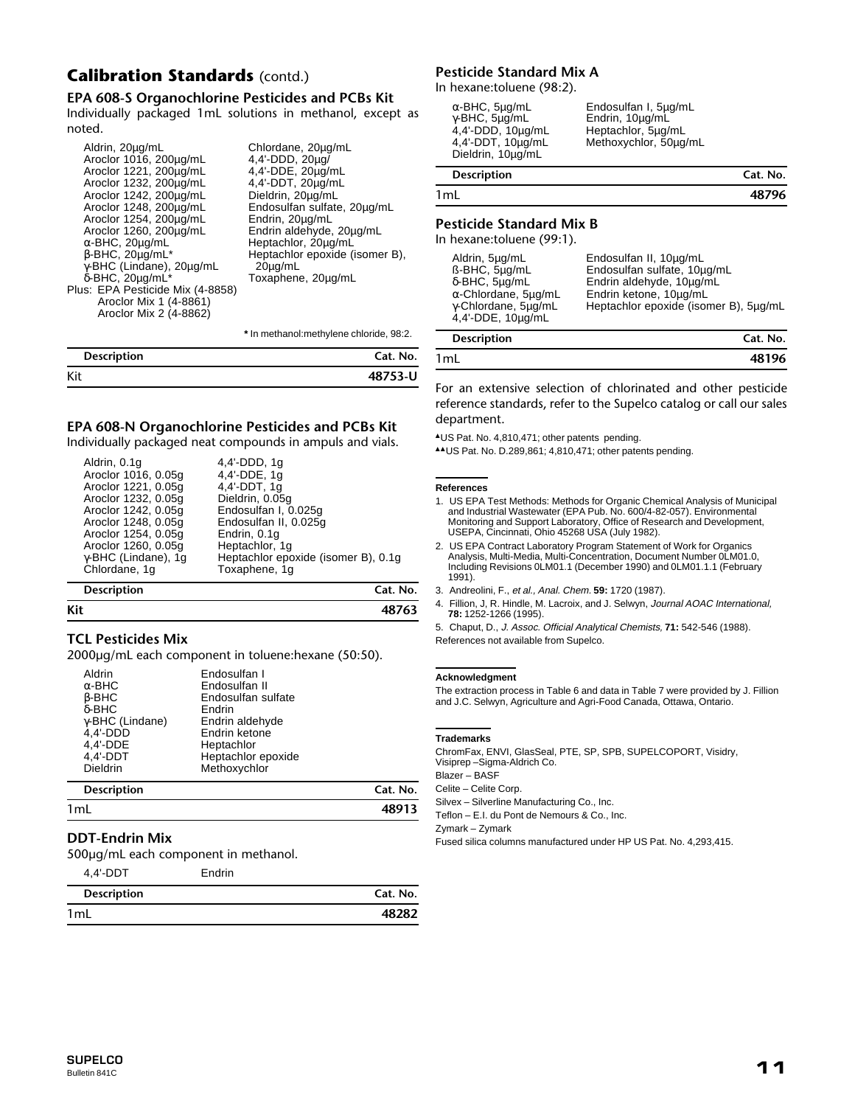# **Calibration Standards** (contd.)

## **EPA 608-S Organochlorine Pesticides and PCBs Kit**

Individually packaged 1mL solutions in methanol, except as noted.

| Aldrin, 20µg/mL<br>Aroclor 1016, 200µg/mL<br>Aroclor 1221, 200µg/mL<br>Aroclor 1232, 200µg/mL<br>Aroclor 1242, 200µg/mL<br>Aroclor 1248, 200µg/mL<br>Aroclor 1254, 200µg/mL<br>Aroclor 1260, 200µg/mL<br>$\alpha$ -BHC, 20µg/mL<br>$\beta$ -BHC, 20 $\mu$ g/mL*<br>γ-BHC (Lindane), 20μg/mL<br>$\delta$ -BHC, 20µg/mL*<br>Plus: EPA Pesticide Mix (4-8858)<br>Aroclor Mix 1 (4-8861)<br>Aroclor Mix 2 (4-8862) | Chlordane, 20µg/mL<br>4,4'-DDD, 20µg/<br>4,4'-DDE, 20µg/mL<br>4,4'-DDT, 20µg/mL<br>Dieldrin, 20µg/mL<br>Endosulfan sulfate, 20µg/mL<br>Endrin, 20µg/mL<br>Endrin aldehyde, 20µg/mL<br>Heptachlor, 20µg/mL<br>Heptachlor epoxide (isomer B),<br>$20\mu q/mL$<br>Toxaphene, 20µg/mL |
|----------------------------------------------------------------------------------------------------------------------------------------------------------------------------------------------------------------------------------------------------------------------------------------------------------------------------------------------------------------------------------------------------------------|-----------------------------------------------------------------------------------------------------------------------------------------------------------------------------------------------------------------------------------------------------------------------------------|
|----------------------------------------------------------------------------------------------------------------------------------------------------------------------------------------------------------------------------------------------------------------------------------------------------------------------------------------------------------------------------------------------------------------|-----------------------------------------------------------------------------------------------------------------------------------------------------------------------------------------------------------------------------------------------------------------------------------|

**\*** In methanol:methylene chloride, 98:2.

| <b>Description</b> | Cat. No. |
|--------------------|----------|
| Kit                | 48753-U  |

## **EPA 608-N Organochlorine Pesticides and PCBs Kit**

Individually packaged neat compounds in ampuls and vials.

# **Kit 48763**

## **TCL Pesticides Mix**

2000µg/mL each component in toluene:hexane (50:50).

| $D^{\text{osc}}$        |                    | $C_{n+1}$ N <sub>14</sub> |
|-------------------------|--------------------|---------------------------|
|                         | Methoxychlor       |                           |
| <b>Dieldrin</b>         |                    |                           |
| 4.4'-DDT                | Heptachlor epoxide |                           |
| 4,4'-DDE                | Heptachlor         |                           |
|                         |                    |                           |
| $4.4'$ -DDD             | Endrin ketone      |                           |
| $\gamma$ -BHC (Lindane) | Endrin aldehyde    |                           |
| δ-BHC                   | Endrin             |                           |
|                         |                    |                           |
| $\beta$ -BHC            | Endosulfan sulfate |                           |
| $\alpha$ -BHC           | Endosulfan II      |                           |
| Aldrin                  | Endosulfan I       |                           |
|                         |                    |                           |
|                         |                    |                           |

| <b>Description</b> | Cat. No. |
|--------------------|----------|
| 1mL                | 48913    |
|                    |          |

## **DDT-Endrin Mix**

500µg/mL each component in methanol.

| Cat. No. |
|----------|
| 48282    |
|          |

Endrin

## **Pesticide Standard Mix A**

In hexane:toluene (98:2).

| <b>Description</b> | Cat. No. |
|--------------------|----------|
| 1mL                | 48796    |

## **Pesticide Standard Mix B**

In hexane:toluene (99:1).

| Aldrin, 5µg/mL<br>ß-BHC, 5µg/mL<br>$\delta$ -BHC, $5\mu q/mL$<br>$\alpha$ -Chlordane, 5µg/mL<br>y Chlordane, 5µg/mL<br>4,4'-DDE, 10ug/mL | Endosulfan II, 10µg/mL<br>Endosulfan sulfate, 10µg/mL<br>Endrin aldehyde, 10ug/mL<br>Endrin ketone, 10µg/mL<br>Heptachlor epoxide (isomer B), 5ug/mL |
|------------------------------------------------------------------------------------------------------------------------------------------|------------------------------------------------------------------------------------------------------------------------------------------------------|
| <b>Description</b>                                                                                                                       | Cat. No.                                                                                                                                             |

| Description | Cat. No. |
|-------------|----------|
| 1mL         | 48196    |
|             |          |

For an extensive selection of chlorinated and other pesticide reference standards, refer to the Supelco catalog or call our sales department.

▲US Pat. No. 4,810,471; other patents pending.

▲▲US Pat. No. D.289,861; 4,810,471; other patents pending.

#### **References**

- 1. US EPA Test Methods: Methods for Organic Chemical Analysis of Municipal and Industrial Wastewater (EPA Pub. No. 600/4-82-057). Environmental Monitoring and Support Laboratory, Office of Research and Development, USEPA, Cincinnati, Ohio 45268 USA (July 1982).
- 2. US EPA Contract Laboratory Program Statement of Work for Organics Analysis, Multi-Media, Multi-Concentration, Document Number 0LM01.0, Including Revisions 0LM01.1 (December 1990) and 0LM01.1.1 (February 1991).

3. Andreolini, F., et al., Anal. Chem. **59:** 1720 (1987).

4. Fillion, J, R. Hindle, M. Lacroix, and J. Selwyn, Journal AOAC International, **78:** 1252-1266 (1995).

5. Chaput, D., J. Assoc. Official Analytical Chemists, **71:** 542-546 (1988). References not available from Supelco.

#### **Acknowledgment**

The extraction process in Table 6 and data in Table 7 were provided by J. Fillion and J.C. Selwyn, Agriculture and Agri-Food Canada, Ottawa, Ontario.

#### **Trademarks**

ChromFax, ENVI, GlasSeal, PTE, SP, SPB, SUPELCOPORT, Visidry, Visiprep –Sigma-Aldrich Co.

Blazer – BASF

Celite – Celite Corp.

Silvex – Silverline Manufacturing Co., Inc.

Teflon – E.I. du Pont de Nemours & Co., Inc.

Zymark – Zymark

Fused silica columns manufactured under HP US Pat. No. 4,293,415.